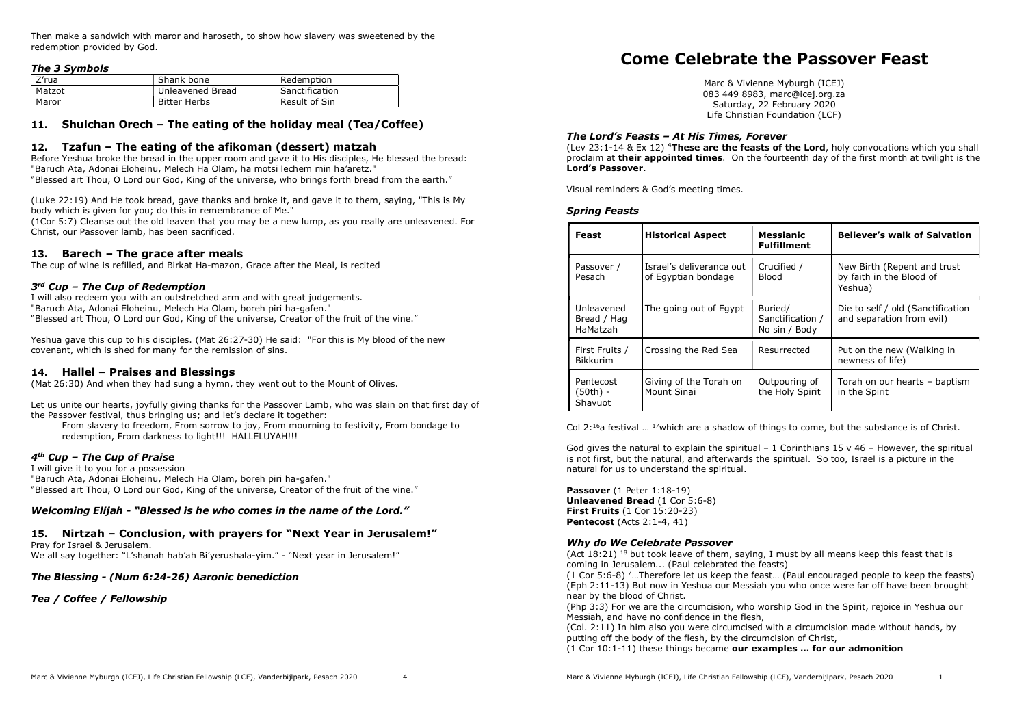Then make a sandwich with maror and haroseth, to show how slavery was sweetened by the redemption provided by God.

# The 3 Symbols

| Z'rua  | Shank bone       | Redemption     |
|--------|------------------|----------------|
| Matzot | Unleavened Bread | Sanctification |
| Maror  | Bitter Herbs     | Result of Sin  |

# 11. Shulchan Orech – The eating of the holiday meal (Tea/Coffee)

## 12. Tzafun – The eating of the afikoman (dessert) matzah

Before Yeshua broke the bread in the upper room and gave it to His disciples, He blessed the bread: "Baruch Ata, Adonai Eloheinu, Melech Ha Olam, ha motsi lechem min ha'aretz." "Blessed art Thou, O Lord our God, King of the universe, who brings forth bread from the earth."

(Luke 22:19) And He took bread, gave thanks and broke it, and gave it to them, saying, "This is My body which is given for you; do this in remembrance of Me."

(1Cor 5:7) Cleanse out the old leaven that you may be a new lump, as you really are unleavened. For Christ, our Passover lamb, has been sacrificed.

## 13. Barech – The grace after meals

The cup of wine is refilled, and Birkat Ha-mazon, Grace after the Meal, is recited

## 3rd Cup – The Cup of Redemption

I will also redeem you with an outstretched arm and with great judgements. "Baruch Ata, Adonai Eloheinu, Melech Ha Olam, boreh piri ha-gafen." "Blessed art Thou, O Lord our God, King of the universe, Creator of the fruit of the vine."

Yeshua gave this cup to his disciples. (Mat 26:27-30) He said: "For this is My blood of the new covenant, which is shed for many for the remission of sins.

#### 14. Hallel – Praises and Blessings

(Mat 26:30) And when they had sung a hymn, they went out to the Mount of Olives.

Let us unite our hearts, joyfully giving thanks for the Passover Lamb, who was slain on that first day of the Passover festival, thus bringing us; and let's declare it together:

From slavery to freedom, From sorrow to joy, From mourning to festivity, From bondage to redemption, From darkness to light!!! HALLELUYAH!!!

#### 4 th Cup – The Cup of Praise

I will give it to you for a possession "Baruch Ata, Adonai Eloheinu, Melech Ha Olam, boreh piri ha-gafen." "Blessed art Thou, O Lord our God, King of the universe, Creator of the fruit of the vine."

#### Welcoming Elijah - "Blessed is he who comes in the name of the Lord."

15. Nirtzah – Conclusion, with prayers for "Next Year in Jerusalem!" Pray for Israel & Jerusalem.

We all say together: "L'shanah hab'ah Bi'yerushala-yim." - "Next year in Jerusalem!"

The Blessing - (Num 6:24-26) Aaronic benediction

#### Tea / Coffee / Fellowship

# Come Celebrate the Passover Feast

Marc & Vivienne Myburgh (ICEJ) 083 449 8983, marc@icej.org.za Saturday, 22 February 2020 Life Christian Foundation (LCF)

## The Lord's Feasts – At His Times, Forever

(Lev 23:1-14 & Ex 12) <sup>4</sup>These are the feasts of the Lord, holy convocations which you shall proclaim at their appointed times. On the fourteenth day of the first month at twilight is the Lord's Passover.

Visual reminders & God's meeting times.

## Spring Feasts

| Feast                                 | <b>Historical Aspect</b>                        | <b>Messianic</b><br><b>Fulfillment</b>       | <b>Believer's walk of Salvation</b>                                 |
|---------------------------------------|-------------------------------------------------|----------------------------------------------|---------------------------------------------------------------------|
| Passover /<br>Pesach                  | Israel's deliverance out<br>of Egyptian bondage | Crucified /<br><b>Blood</b>                  | New Birth (Repent and trust)<br>by faith in the Blood of<br>Yeshua) |
| Unleavened<br>Bread / Hag<br>HaMatzah | The going out of Egypt                          | Buried/<br>Sanctification /<br>No sin / Body | Die to self / old (Sanctification<br>and separation from evil)      |
| First Fruits /<br><b>Bikkurim</b>     | Crossing the Red Sea                            | Resurrected                                  | Put on the new (Walking in<br>newness of life)                      |
| Pentecost<br>(50th) -<br>Shavuot      | Giving of the Torah on<br>Mount Sinai           | Outpouring of<br>the Holy Spirit             | Torah on our hearts - baptism<br>in the Spirit                      |

Col 2:<sup>16</sup>a festival  $\ldots$  <sup>17</sup>which are a shadow of things to come, but the substance is of Christ.

God gives the natural to explain the spiritual  $-1$  Corinthians 15 v 46 – However, the spiritual is not first, but the natural, and afterwards the spiritual. So too, Israel is a picture in the natural for us to understand the spiritual.

Passover (1 Peter 1:18-19) Unleavened Bread (1 Cor 5:6-8) First Fruits (1 Cor 15:20-23) Pentecost (Acts 2:1-4, 41)

## Why do We Celebrate Passover

(Act 18:21) <sup>18</sup> but took leave of them, saying, I must by all means keep this feast that is coming in Jerusalem... (Paul celebrated the feasts)

(1 Cor 5:6-8) <sup>7</sup>…Therefore let us keep the feast… (Paul encouraged people to keep the feasts) (Eph 2:11-13) But now in Yeshua our Messiah you who once were far off have been brought near by the blood of Christ.

(Php 3:3) For we are the circumcision, who worship God in the Spirit, rejoice in Yeshua our Messiah, and have no confidence in the flesh,

(Col. 2:11) In him also you were circumcised with a circumcision made without hands, by putting off the body of the flesh, by the circumcision of Christ,

 $(1$  Cor  $10:1-11$ ) these things became our examples ... for our admonition